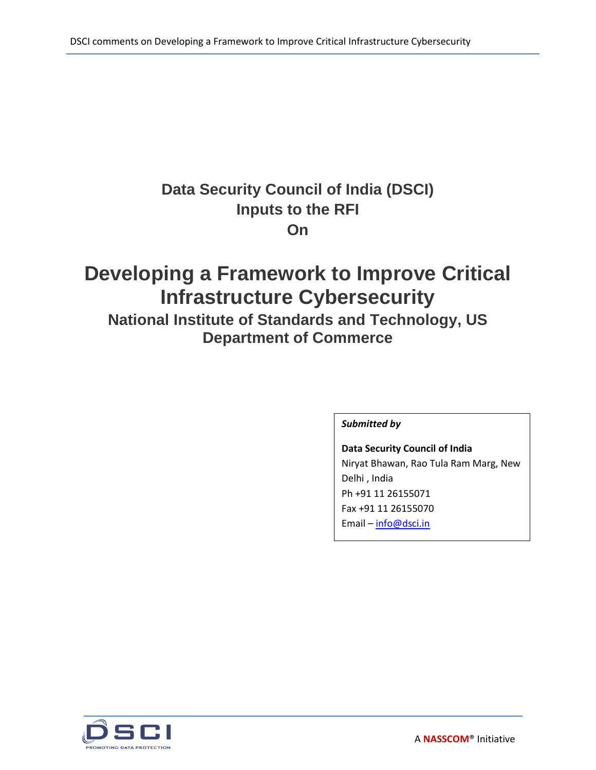# **Data Security Council of India (DSCI) Inputs to the RFI On**

# **Developing a Framework to Improve Critical Infrastructure Cybersecurity**

**National Institute of Standards and Technology, US Department of Commerce**

# *Submitted by*

**Data Security Council of India** Niryat Bhawan, Rao Tula Ram Marg, New Delhi , India Ph +91 11 26155071 Fax +91 11 26155070 Email – [info@dsci.in](mailto:info@dsci.in)

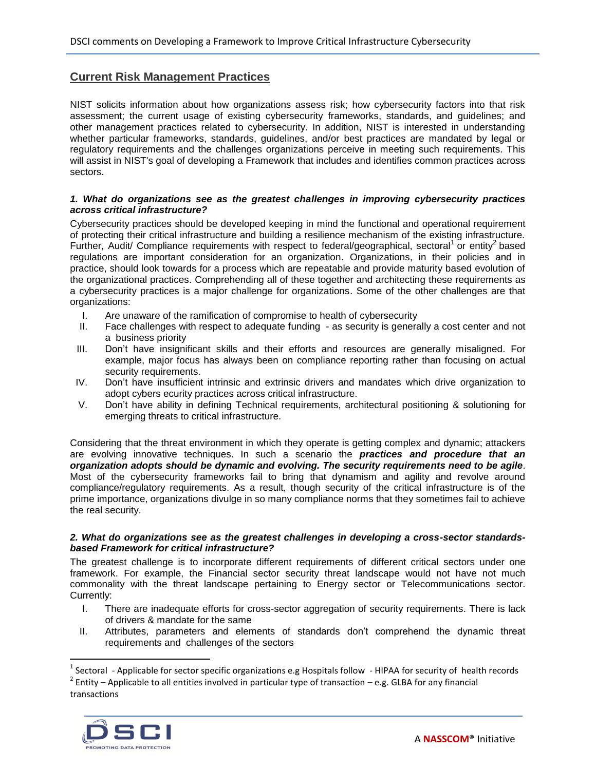# **Current Risk Management Practices**

NIST solicits information about how organizations assess risk; how cybersecurity factors into that risk assessment; the current usage of existing cybersecurity frameworks, standards, and guidelines; and other management practices related to cybersecurity. In addition, NIST is interested in understanding whether particular frameworks, standards, guidelines, and/or best practices are mandated by legal or regulatory requirements and the challenges organizations perceive in meeting such requirements. This will assist in NIST's goal of developing a Framework that includes and identifies common practices across sectors.

# *1. What do organizations see as the greatest challenges in improving cybersecurity practices across critical infrastructure?*

Cybersecurity practices should be developed keeping in mind the functional and operational requirement of protecting their critical infrastructure and building a resilience mechanism of the existing infrastructure. Further, Audit/ Compliance requirements with respect to federal/geographical, sectoral<sup>1</sup> or entity<sup>2</sup> based regulations are important consideration for an organization. Organizations, in their policies and in practice, should look towards for a process which are repeatable and provide maturity based evolution of the organizational practices. Comprehending all of these together and architecting these requirements as a cybersecurity practices is a major challenge for organizations. Some of the other challenges are that organizations:

- I. Are unaware of the ramification of compromise to health of cybersecurity
- II. Face challenges with respect to adequate funding as security is generally a cost center and not a business priority
- III. Don't have insignificant skills and their efforts and resources are generally misaligned. For example, major focus has always been on compliance reporting rather than focusing on actual security requirements.
- IV. Don't have insufficient intrinsic and extrinsic drivers and mandates which drive organization to adopt cybers ecurity practices across critical infrastructure.
- V. Don't have ability in defining Technical requirements, architectural positioning & solutioning for emerging threats to critical infrastructure.

Considering that the threat environment in which they operate is getting complex and dynamic; attackers are evolving innovative techniques. In such a scenario the *practices and procedure that an organization adopts should be dynamic and evolving. The security requirements need to be agile*. Most of the cybersecurity frameworks fail to bring that dynamism and agility and revolve around compliance/regulatory requirements. As a result, though security of the critical infrastructure is of the prime importance, organizations divulge in so many compliance norms that they sometimes fail to achieve the real security.

# *2. What do organizations see as the greatest challenges in developing a cross-sector standardsbased Framework for critical infrastructure?*

The greatest challenge is to incorporate different requirements of different critical sectors under one framework. For example, the Financial sector security threat landscape would not have not much commonality with the threat landscape pertaining to Energy sector or Telecommunications sector. Currently:

- I. There are inadequate efforts for cross-sector aggregation of security requirements. There is lack of drivers & mandate for the same
- II. Attributes, parameters and elements of standards don't comprehend the dynamic threat requirements and challenges of the sectors

 $2$  Entity – Applicable to all entities involved in particular type of transaction – e.g. GLBA for any financial transactions



 $\overline{\phantom{a}}$ 

<sup>&</sup>lt;sup>1</sup> Sectoral - Applicable for sector specific organizations e.g Hospitals follow - HIPAA for security of health records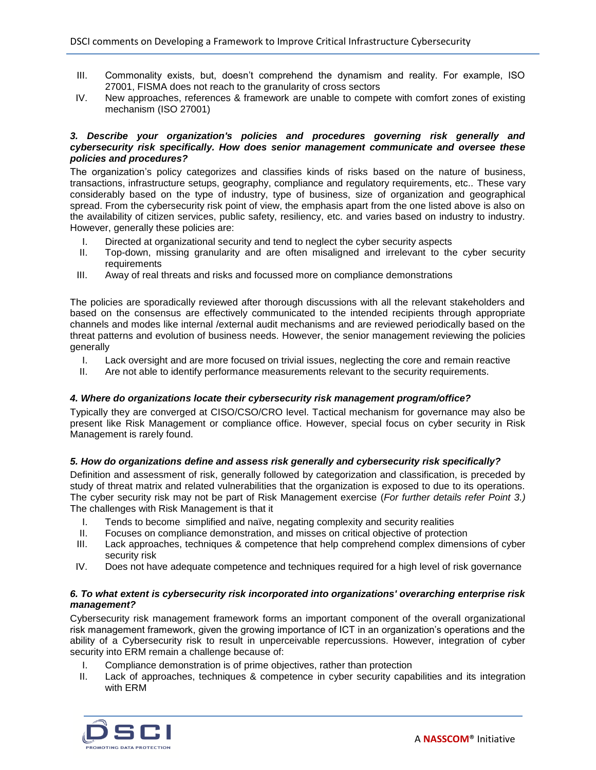- III. Commonality exists, but, doesn't comprehend the dynamism and reality. For example, ISO 27001, FISMA does not reach to the granularity of cross sectors
- IV. New approaches, references & framework are unable to compete with comfort zones of existing mechanism (ISO 27001)

# *3. Describe your organization's policies and procedures governing risk generally and cybersecurity risk specifically. How does senior management communicate and oversee these policies and procedures?*

The organization's policy categorizes and classifies kinds of risks based on the nature of business, transactions, infrastructure setups, geography, compliance and regulatory requirements, etc.. These vary considerably based on the type of industry, type of business, size of organization and geographical spread. From the cybersecurity risk point of view, the emphasis apart from the one listed above is also on the availability of citizen services, public safety, resiliency, etc. and varies based on industry to industry. However, generally these policies are:

- I. Directed at organizational security and tend to neglect the cyber security aspects
- II. Top-down, missing granularity and are often misaligned and irrelevant to the cyber security requirements
- III. Away of real threats and risks and focussed more on compliance demonstrations

The policies are sporadically reviewed after thorough discussions with all the relevant stakeholders and based on the consensus are effectively communicated to the intended recipients through appropriate channels and modes like internal /external audit mechanisms and are reviewed periodically based on the threat patterns and evolution of business needs. However, the senior management reviewing the policies generally

- I. Lack oversight and are more focused on trivial issues, neglecting the core and remain reactive
- II. Are not able to identify performance measurements relevant to the security requirements.

# *4. Where do organizations locate their cybersecurity risk management program/office?*

Typically they are converged at CISO/CSO/CRO level. Tactical mechanism for governance may also be present like Risk Management or compliance office. However, special focus on cyber security in Risk Management is rarely found.

# *5. How do organizations define and assess risk generally and cybersecurity risk specifically?*

Definition and assessment of risk, generally followed by categorization and classification, is preceded by study of threat matrix and related vulnerabilities that the organization is exposed to due to its operations. The cyber security risk may not be part of Risk Management exercise (*For further details refer Point 3.)* The challenges with Risk Management is that it

- I. Tends to become simplified and naïve, negating complexity and security realities
- II. Focuses on compliance demonstration, and misses on critical objective of protection
- III. Lack approaches, techniques & competence that help comprehend complex dimensions of cyber security risk
- IV. Does not have adequate competence and techniques required for a high level of risk governance

# *6. To what extent is cybersecurity risk incorporated into organizations' overarching enterprise risk management?*

Cybersecurity risk management framework forms an important component of the overall organizational risk management framework, given the growing importance of ICT in an organization's operations and the ability of a Cybersecurity risk to result in unperceivable repercussions. However, integration of cyber security into ERM remain a challenge because of:

- I. Compliance demonstration is of prime objectives, rather than protection
- II. Lack of approaches, techniques & competence in cyber security capabilities and its integration with ERM

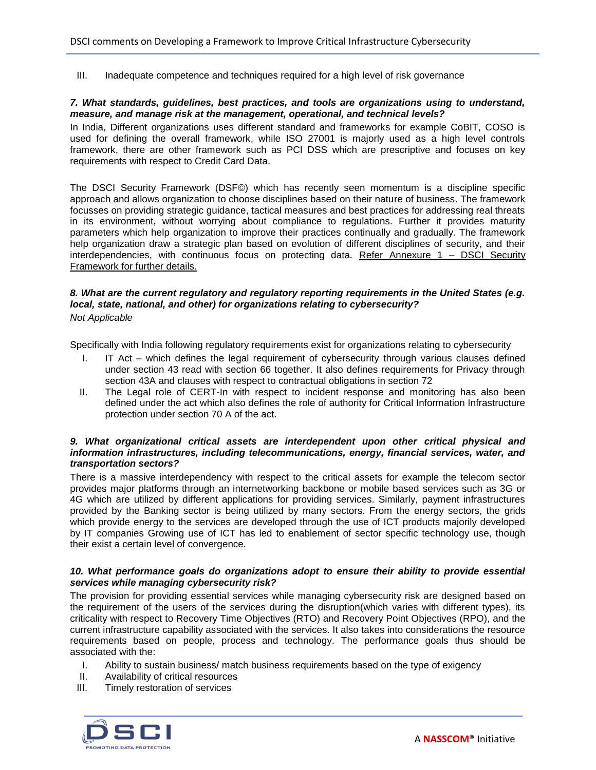III. Inadequate competence and techniques required for a high level of risk governance

# *7. What standards, guidelines, best practices, and tools are organizations using to understand, measure, and manage risk at the management, operational, and technical levels?*

In India, Different organizations uses different standard and frameworks for example CoBIT, COSO is used for defining the overall framework, while ISO 27001 is majorly used as a high level controls framework, there are other framework such as PCI DSS which are prescriptive and focuses on key requirements with respect to Credit Card Data.

The DSCI Security Framework (DSF©) which has recently seen momentum is a discipline specific approach and allows organization to choose disciplines based on their nature of business. The framework focusses on providing strategic guidance, tactical measures and best practices for addressing real threats in its environment, without worrying about compliance to regulations. Further it provides maturity parameters which help organization to improve their practices continually and gradually. The framework help organization draw a strategic plan based on evolution of different disciplines of security, and their interdependencies, with continuous focus on protecting data. Refer Annexure 1 – DSCI Security Framework for further details.

# *8. What are the current regulatory and regulatory reporting requirements in the United States (e.g. local, state, national, and other) for organizations relating to cybersecurity? Not Applicable*

Specifically with India following regulatory requirements exist for organizations relating to cybersecurity

- I. IT Act which defines the legal requirement of cybersecurity through various clauses defined under section 43 read with section 66 together. It also defines requirements for Privacy through section 43A and clauses with respect to contractual obligations in section 72
- II. The Legal role of CERT-In with respect to incident response and monitoring has also been defined under the act which also defines the role of authority for Critical Information Infrastructure protection under section 70 A of the act.

# *9. What organizational critical assets are interdependent upon other critical physical and information infrastructures, including telecommunications, energy, financial services, water, and transportation sectors?*

There is a massive interdependency with respect to the critical assets for example the telecom sector provides major platforms through an internetworking backbone or mobile based services such as 3G or 4G which are utilized by different applications for providing services. Similarly, payment infrastructures provided by the Banking sector is being utilized by many sectors. From the energy sectors, the grids which provide energy to the services are developed through the use of ICT products majorily developed by IT companies Growing use of ICT has led to enablement of sector specific technology use, though their exist a certain level of convergence.

# 10. What performance goals do organizations adopt to ensure their ability to provide essential *services while managing cybersecurity risk?*

The provision for providing essential services while managing cybersecurity risk are designed based on the requirement of the users of the services during the disruption(which varies with different types), its criticality with respect to Recovery Time Objectives (RTO) and Recovery Point Objectives (RPO), and the current infrastructure capability associated with the services. It also takes into considerations the resource requirements based on people, process and technology. The performance goals thus should be associated with the:

- I. Ability to sustain business/ match business requirements based on the type of exigency
- II. Availability of critical resources
- III. Timely restoration of services

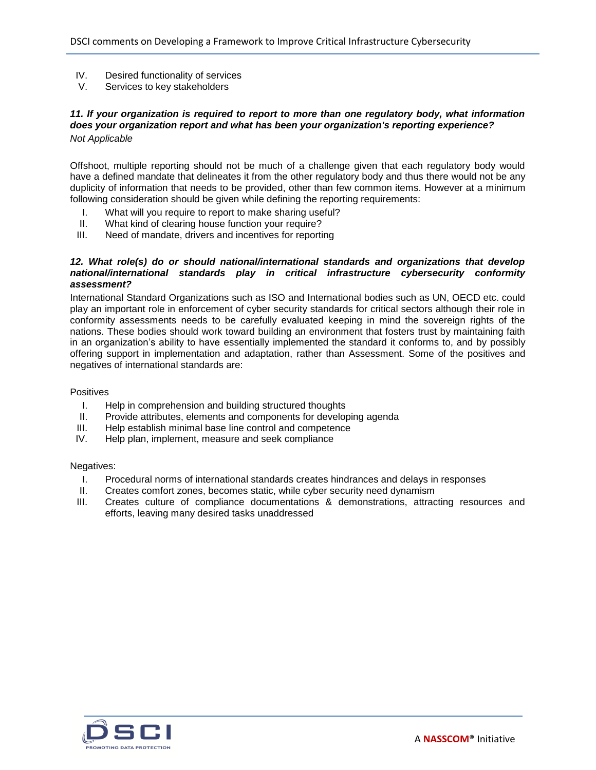- IV. Desired functionality of services
- V. Services to key stakeholders

# *11. If your organization is required to report to more than one regulatory body, what information does your organization report and what has been your organization's reporting experience? Not Applicable*

Offshoot, multiple reporting should not be much of a challenge given that each regulatory body would have a defined mandate that delineates it from the other regulatory body and thus there would not be any duplicity of information that needs to be provided, other than few common items. However at a minimum following consideration should be given while defining the reporting requirements:

- I. What will you require to report to make sharing useful?
- II. What kind of clearing house function your require?<br>III. Need of mandate, drivers and incentives for reporti
- Need of mandate, drivers and incentives for reporting

# *12. What role(s) do or should national/international standards and organizations that develop national/international standards play in critical infrastructure cybersecurity conformity assessment?*

International Standard Organizations such as ISO and International bodies such as UN, OECD etc. could play an important role in enforcement of cyber security standards for critical sectors although their role in conformity assessments needs to be carefully evaluated keeping in mind the sovereign rights of the nations. These bodies should work toward building an environment that fosters trust by maintaining faith in an organization's ability to have essentially implemented the standard it conforms to, and by possibly offering support in implementation and adaptation, rather than Assessment. Some of the positives and negatives of international standards are:

# **Positives**

- I. Help in comprehension and building structured thoughts
- II. Provide attributes, elements and components for developing agenda
- III. Help establish minimal base line control and competence
- IV. Help plan, implement, measure and seek compliance

#### Negatives:

- I. Procedural norms of international standards creates hindrances and delays in responses
- II. Creates comfort zones, becomes static, while cyber security need dynamism
- III. Creates culture of compliance documentations & demonstrations, attracting resources and efforts, leaving many desired tasks unaddressed

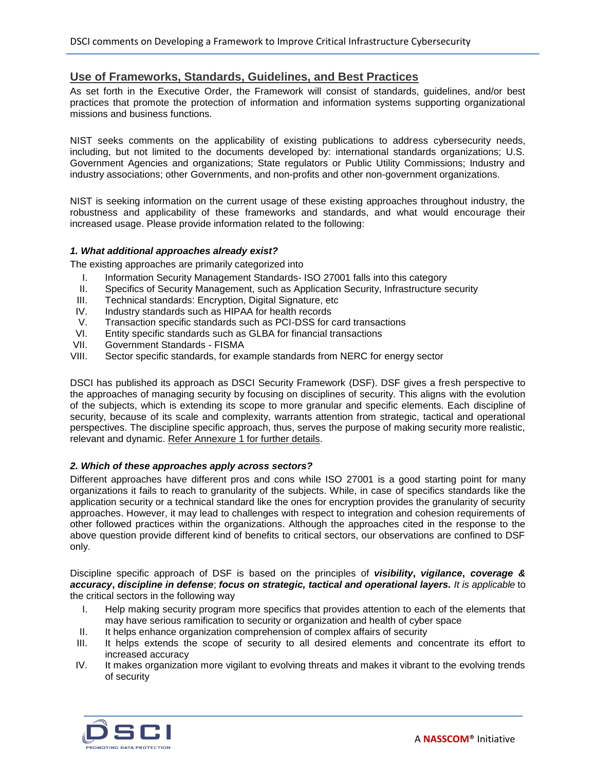# **Use of Frameworks, Standards, Guidelines, and Best Practices**

As set forth in the Executive Order, the Framework will consist of standards, guidelines, and/or best practices that promote the protection of information and information systems supporting organizational missions and business functions.

NIST seeks comments on the applicability of existing publications to address cybersecurity needs, including, but not limited to the documents developed by: international standards organizations; U.S. Government Agencies and organizations; State regulators or Public Utility Commissions; Industry and industry associations; other Governments, and non-profits and other non-government organizations.

NIST is seeking information on the current usage of these existing approaches throughout industry, the robustness and applicability of these frameworks and standards, and what would encourage their increased usage. Please provide information related to the following:

# *1. What additional approaches already exist?*

The existing approaches are primarily categorized into

- I. Information Security Management Standards- ISO 27001 falls into this category<br>II. Specifics of Security Management, such as Application Security, Infrastructure s
- Specifics of Security Management, such as Application Security, Infrastructure security
- III. Technical standards: Encryption, Digital Signature, etc
- IV. Industry standards such as HIPAA for health records<br>V. Transaction specific standards such as PCI-DSS for o
- V. Transaction specific standards such as PCI-DSS for card transactions<br>VI. Entity specific standards such as GLBA for financial transactions
- Entity specific standards such as GLBA for financial transactions
- VII. Government Standards FISMA
- VIII. Sector specific standards, for example standards from NERC for energy sector

DSCI has published its approach as DSCI Security Framework (DSF). DSF gives a fresh perspective to the approaches of managing security by focusing on disciplines of security. This aligns with the evolution of the subjects, which is extending its scope to more granular and specific elements. Each discipline of security, because of its scale and complexity, warrants attention from strategic, tactical and operational perspectives. The discipline specific approach, thus, serves the purpose of making security more realistic, relevant and dynamic. Refer Annexure 1 for further details.

# *2. Which of these approaches apply across sectors?*

Different approaches have different pros and cons while ISO 27001 is a good starting point for many organizations it fails to reach to granularity of the subjects. While, in case of specifics standards like the application security or a technical standard like the ones for encryption provides the granularity of security approaches. However, it may lead to challenges with respect to integration and cohesion requirements of other followed practices within the organizations. Although the approaches cited in the response to the above question provide different kind of benefits to critical sectors, our observations are confined to DSF only.

Discipline specific approach of DSF is based on the principles of *visibility***,** *vigilance***,** *coverage & accuracy***,** *discipline in defense*; *focus on strategic, tactical and operational layers. It is applicable* to the critical sectors in the following way

- I. Help making security program more specifics that provides attention to each of the elements that may have serious ramification to security or organization and health of cyber space
- II. It helps enhance organization comprehension of complex affairs of security
- III. It helps extends the scope of security to all desired elements and concentrate its effort to increased accuracy
- IV. It makes organization more vigilant to evolving threats and makes it vibrant to the evolving trends of security

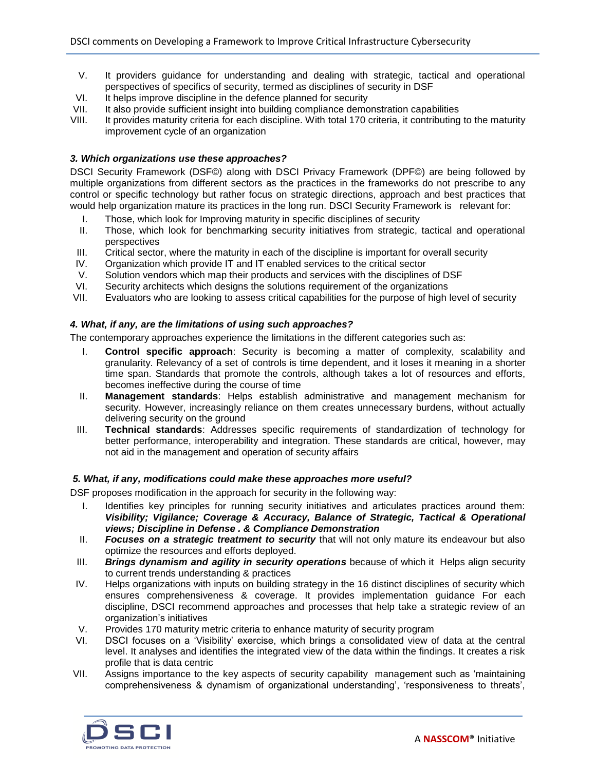- V. It providers guidance for understanding and dealing with strategic, tactical and operational perspectives of specifics of security, termed as disciplines of security in DSF
- VI. It helps improve discipline in the defence planned for security
- VII. It also provide sufficient insight into building compliance demonstration capabilities
- VIII. It provides maturity criteria for each discipline. With total 170 criteria, it contributing to the maturity improvement cycle of an organization

# *3. Which organizations use these approaches?*

DSCI Security Framework (DSF©) along with DSCI Privacy Framework (DPF©) are being followed by multiple organizations from different sectors as the practices in the frameworks do not prescribe to any control or specific technology but rather focus on strategic directions, approach and best practices that would help organization mature its practices in the long run. DSCI Security Framework is relevant for:

- I. Those, which look for Improving maturity in specific disciplines of security
- II. Those, which look for benchmarking security initiatives from strategic, tactical and operational perspectives
- III. Critical sector, where the maturity in each of the discipline is important for overall security
- IV. Organization which provide IT and IT enabled services to the critical sector
- V. Solution vendors which map their products and services with the disciplines of DSF
- VI. Security architects which designs the solutions requirement of the organizations
- VII. Evaluators who are looking to assess critical capabilities for the purpose of high level of security

# *4. What, if any, are the limitations of using such approaches?*

The contemporary approaches experience the limitations in the different categories such as:

- I. **Control specific approach**: Security is becoming a matter of complexity, scalability and granularity. Relevancy of a set of controls is time dependent, and it loses it meaning in a shorter time span. Standards that promote the controls, although takes a lot of resources and efforts, becomes ineffective during the course of time
- II. **Management standards**: Helps establish administrative and management mechanism for security. However, increasingly reliance on them creates unnecessary burdens, without actually delivering security on the ground
- III. **Technical standards**: Addresses specific requirements of standardization of technology for better performance, interoperability and integration. These standards are critical, however, may not aid in the management and operation of security affairs

# *5. What, if any, modifications could make these approaches more useful?*

DSF proposes modification in the approach for security in the following way:

- I. Identifies key principles for running security initiatives and articulates practices around them: *Visibility; Vigilance; Coverage & Accuracy, Balance of Strategic, Tactical & Operational views; Discipline in Defense . & Compliance Demonstration*
- II. *Focuses on a strategic treatment to security* that will not only mature its endeavour but also optimize the resources and efforts deployed.
- III. *Brings dynamism and agility in security operations* because of which it Helps align security to current trends understanding & practices
- IV. Helps organizations with inputs on building strategy in the 16 distinct disciplines of security which ensures comprehensiveness & coverage. It provides implementation quidance For each discipline, DSCI recommend approaches and processes that help take a strategic review of an organization's initiatives
- V. Provides 170 maturity metric criteria to enhance maturity of security program
- VI. DSCI focuses on a 'Visibility' exercise, which brings a consolidated view of data at the central level. It analyses and identifies the integrated view of the data within the findings. It creates a risk profile that is data centric
- VII. Assigns importance to the key aspects of security capability management such as 'maintaining comprehensiveness & dynamism of organizational understanding', 'responsiveness to threats',

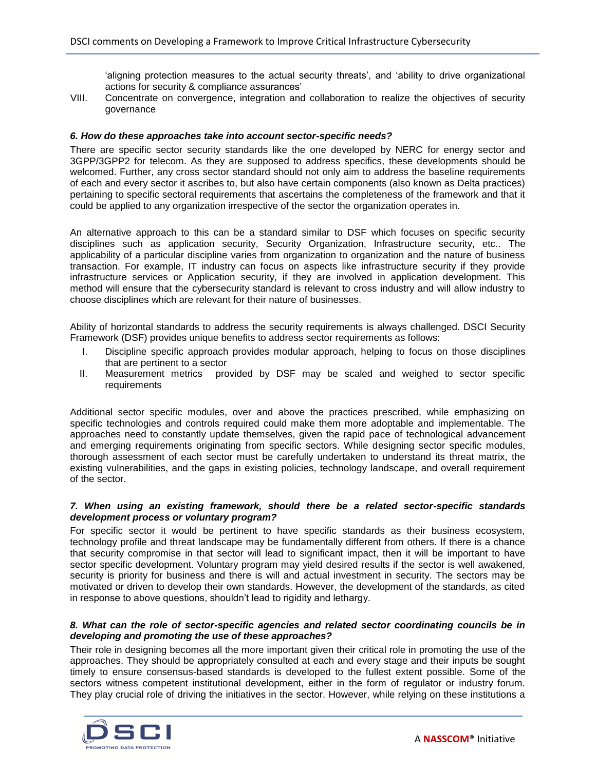'aligning protection measures to the actual security threats', and 'ability to drive organizational actions for security & compliance assurances'

VIII. Concentrate on convergence, integration and collaboration to realize the objectives of security governance

#### *6. How do these approaches take into account sector-specific needs?*

There are specific sector security standards like the one developed by NERC for energy sector and 3GPP/3GPP2 for telecom. As they are supposed to address specifics, these developments should be welcomed. Further, any cross sector standard should not only aim to address the baseline requirements of each and every sector it ascribes to, but also have certain components (also known as Delta practices) pertaining to specific sectoral requirements that ascertains the completeness of the framework and that it could be applied to any organization irrespective of the sector the organization operates in.

An alternative approach to this can be a standard similar to DSF which focuses on specific security disciplines such as application security, Security Organization, Infrastructure security, etc.. The applicability of a particular discipline varies from organization to organization and the nature of business transaction. For example, IT industry can focus on aspects like infrastructure security if they provide infrastructure services or Application security, if they are involved in application development. This method will ensure that the cybersecurity standard is relevant to cross industry and will allow industry to choose disciplines which are relevant for their nature of businesses.

Ability of horizontal standards to address the security requirements is always challenged. DSCI Security Framework (DSF) provides unique benefits to address sector requirements as follows:

- I. Discipline specific approach provides modular approach, helping to focus on those disciplines that are pertinent to a sector
- II. Measurement metrics provided by DSF may be scaled and weighed to sector specific requirements

Additional sector specific modules, over and above the practices prescribed, while emphasizing on specific technologies and controls required could make them more adoptable and implementable. The approaches need to constantly update themselves, given the rapid pace of technological advancement and emerging requirements originating from specific sectors. While designing sector specific modules, thorough assessment of each sector must be carefully undertaken to understand its threat matrix, the existing vulnerabilities, and the gaps in existing policies, technology landscape, and overall requirement of the sector.

#### *7. When using an existing framework, should there be a related sector-specific standards development process or voluntary program?*

For specific sector it would be pertinent to have specific standards as their business ecosystem, technology profile and threat landscape may be fundamentally different from others. If there is a chance that security compromise in that sector will lead to significant impact, then it will be important to have sector specific development. Voluntary program may yield desired results if the sector is well awakened, security is priority for business and there is will and actual investment in security. The sectors may be motivated or driven to develop their own standards. However, the development of the standards, as cited in response to above questions, shouldn't lead to rigidity and lethargy.

# *8. What can the role of sector-specific agencies and related sector coordinating councils be in developing and promoting the use of these approaches?*

Their role in designing becomes all the more important given their critical role in promoting the use of the approaches. They should be appropriately consulted at each and every stage and their inputs be sought timely to ensure consensus-based standards is developed to the fullest extent possible. Some of the sectors witness competent institutional development, either in the form of regulator or industry forum. They play crucial role of driving the initiatives in the sector. However, while relying on these institutions a

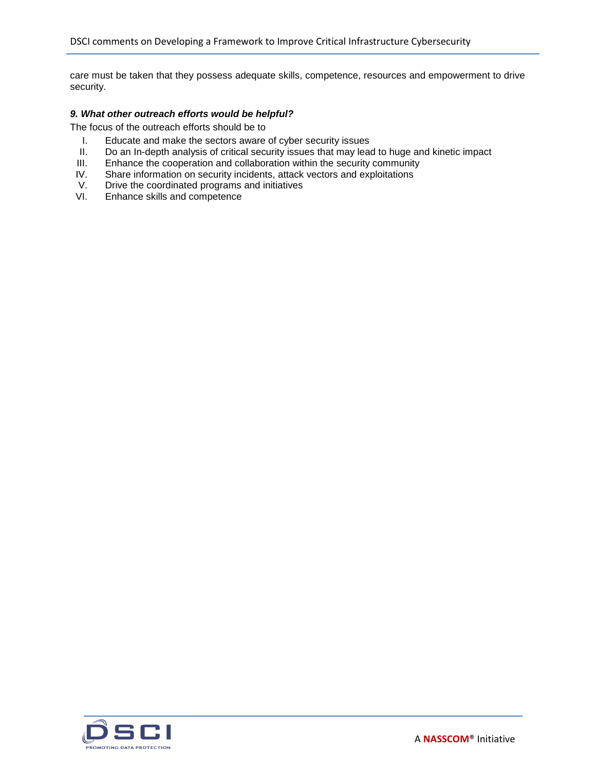care must be taken that they possess adequate skills, competence, resources and empowerment to drive security.

# *9. What other outreach efforts would be helpful?*

The focus of the outreach efforts should be to

- I. Educate and make the sectors aware of cyber security issues
- II. Do an In-depth analysis of critical security issues that may lead to huge and kinetic impact
- III. Enhance the cooperation and collaboration within the security community
- IV. Share information on security incidents, attack vectors and exploitations
- V. Drive the coordinated programs and initiatives<br>VI. Enhance skills and competence
- Enhance skills and competence

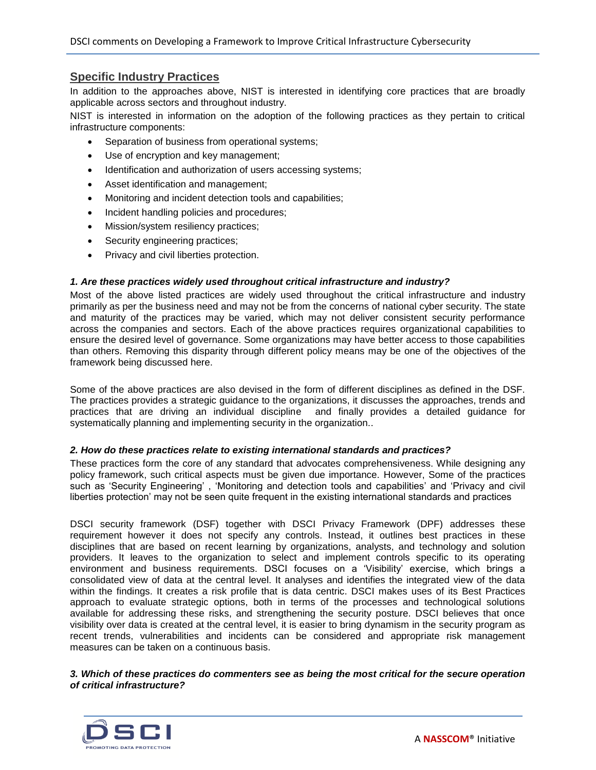# **Specific Industry Practices**

In addition to the approaches above, NIST is interested in identifying core practices that are broadly applicable across sectors and throughout industry.

NIST is interested in information on the adoption of the following practices as they pertain to critical infrastructure components:

- Separation of business from operational systems;
- Use of encryption and key management;
- Identification and authorization of users accessing systems;
- Asset identification and management;
- Monitoring and incident detection tools and capabilities;
- Incident handling policies and procedures;
- Mission/system resiliency practices;
- Security engineering practices;
- Privacy and civil liberties protection.

# *1. Are these practices widely used throughout critical infrastructure and industry?*

Most of the above listed practices are widely used throughout the critical infrastructure and industry primarily as per the business need and may not be from the concerns of national cyber security. The state and maturity of the practices may be varied, which may not deliver consistent security performance across the companies and sectors. Each of the above practices requires organizational capabilities to ensure the desired level of governance. Some organizations may have better access to those capabilities than others. Removing this disparity through different policy means may be one of the objectives of the framework being discussed here.

Some of the above practices are also devised in the form of different disciplines as defined in the DSF. The practices provides a strategic guidance to the organizations, it discusses the approaches, trends and practices that are driving an individual discipline and finally provides a detailed guidance for systematically planning and implementing security in the organization..

# *2. How do these practices relate to existing international standards and practices?*

These practices form the core of any standard that advocates comprehensiveness. While designing any policy framework, such critical aspects must be given due importance. However, Some of the practices such as 'Security Engineering' , 'Monitoring and detection tools and capabilities' and 'Privacy and civil liberties protection' may not be seen quite frequent in the existing international standards and practices

DSCI security framework (DSF) together with DSCI Privacy Framework (DPF) addresses these requirement however it does not specify any controls. Instead, it outlines best practices in these disciplines that are based on recent learning by organizations, analysts, and technology and solution providers. It leaves to the organization to select and implement controls specific to its operating environment and business requirements. DSCI focuses on a 'Visibility' exercise, which brings a consolidated view of data at the central level. It analyses and identifies the integrated view of the data within the findings. It creates a risk profile that is data centric. DSCI makes uses of its Best Practices approach to evaluate strategic options, both in terms of the processes and technological solutions available for addressing these risks, and strengthening the security posture. DSCI believes that once visibility over data is created at the central level, it is easier to bring dynamism in the security program as recent trends, vulnerabilities and incidents can be considered and appropriate risk management measures can be taken on a continuous basis.

*3. Which of these practices do commenters see as being the most critical for the secure operation of critical infrastructure?*

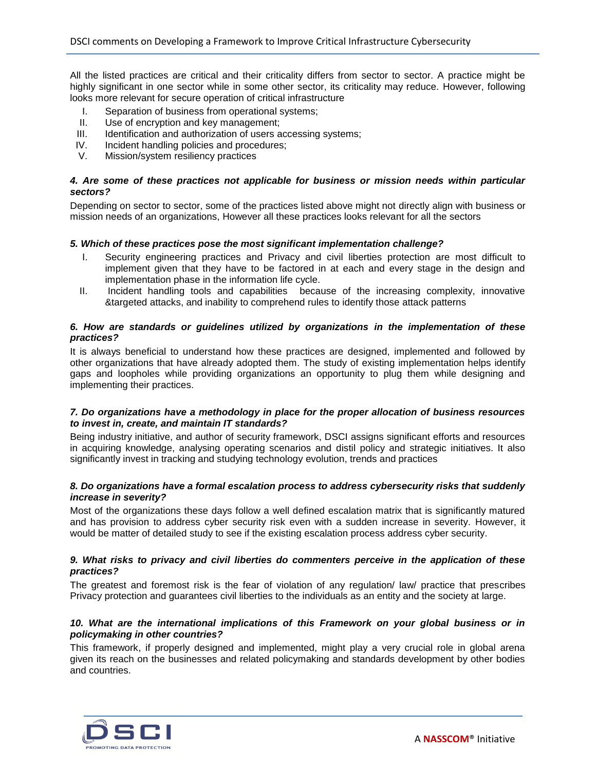All the listed practices are critical and their criticality differs from sector to sector. A practice might be highly significant in one sector while in some other sector, its criticality may reduce. However, following looks more relevant for secure operation of critical infrastructure

- I. Separation of business from operational systems;
- II. Use of encryption and key management;
- III. Identification and authorization of users accessing systems;
- IV. Incident handling policies and procedures;
- V. Mission/system resiliency practices

# *4. Are some of these practices not applicable for business or mission needs within particular sectors?*

Depending on sector to sector, some of the practices listed above might not directly align with business or mission needs of an organizations, However all these practices looks relevant for all the sectors

# *5. Which of these practices pose the most significant implementation challenge?*

- I. Security engineering practices and Privacy and civil liberties protection are most difficult to implement given that they have to be factored in at each and every stage in the design and implementation phase in the information life cycle.
- II. Incident handling tools and capabilities because of the increasing complexity, innovative &targeted attacks, and inability to comprehend rules to identify those attack patterns

# *6. How are standards or guidelines utilized by organizations in the implementation of these practices?*

It is always beneficial to understand how these practices are designed, implemented and followed by other organizations that have already adopted them. The study of existing implementation helps identify gaps and loopholes while providing organizations an opportunity to plug them while designing and implementing their practices.

#### *7. Do organizations have a methodology in place for the proper allocation of business resources to invest in, create, and maintain IT standards?*

Being industry initiative, and author of security framework, DSCI assigns significant efforts and resources in acquiring knowledge, analysing operating scenarios and distil policy and strategic initiatives. It also significantly invest in tracking and studying technology evolution, trends and practices

# *8. Do organizations have a formal escalation process to address cybersecurity risks that suddenly increase in severity?*

Most of the organizations these days follow a well defined escalation matrix that is significantly matured and has provision to address cyber security risk even with a sudden increase in severity. However, it would be matter of detailed study to see if the existing escalation process address cyber security.

#### *9. What risks to privacy and civil liberties do commenters perceive in the application of these practices?*

The greatest and foremost risk is the fear of violation of any regulation/ law/ practice that prescribes Privacy protection and guarantees civil liberties to the individuals as an entity and the society at large.

# *10. What are the international implications of this Framework on your global business or in policymaking in other countries?*

This framework, if properly designed and implemented, might play a very crucial role in global arena given its reach on the businesses and related policymaking and standards development by other bodies and countries.

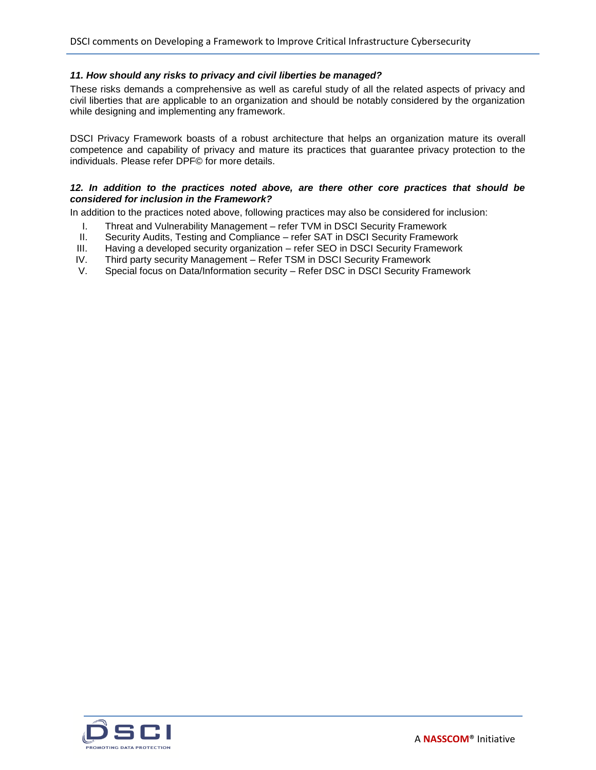# *11. How should any risks to privacy and civil liberties be managed?*

These risks demands a comprehensive as well as careful study of all the related aspects of privacy and civil liberties that are applicable to an organization and should be notably considered by the organization while designing and implementing any framework.

DSCI Privacy Framework boasts of a robust architecture that helps an organization mature its overall competence and capability of privacy and mature its practices that guarantee privacy protection to the individuals. Please refer DPF© for more details.

# *12. In addition to the practices noted above, are there other core practices that should be considered for inclusion in the Framework?*

In addition to the practices noted above, following practices may also be considered for inclusion:

- I. Threat and Vulnerability Management refer TVM in DSCI Security Framework
- II. Security Audits, Testing and Compliance refer SAT in DSCI Security Framework
- III. Having a developed security organization refer SEO in DSCI Security Framework
- IV. Third party security Management Refer TSM in DSCI Security Framework
- V. Special focus on Data/Information security Refer DSC in DSCI Security Framework

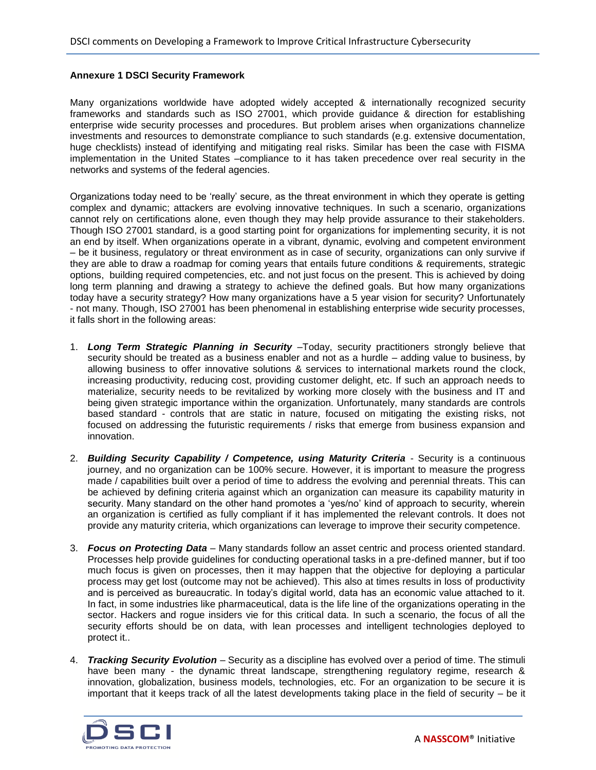# **Annexure 1 DSCI Security Framework**

Many organizations worldwide have adopted widely accepted & internationally recognized security frameworks and standards such as ISO 27001, which provide guidance & direction for establishing enterprise wide security processes and procedures. But problem arises when organizations channelize investments and resources to demonstrate compliance to such standards (e.g. extensive documentation, huge checklists) instead of identifying and mitigating real risks. Similar has been the case with FISMA implementation in the United States –compliance to it has taken precedence over real security in the networks and systems of the federal agencies.

Organizations today need to be 'really' secure, as the threat environment in which they operate is getting complex and dynamic; attackers are evolving innovative techniques. In such a scenario, organizations cannot rely on certifications alone, even though they may help provide assurance to their stakeholders. Though ISO 27001 standard, is a good starting point for organizations for implementing security, it is not an end by itself. When organizations operate in a vibrant, dynamic, evolving and competent environment – be it business, regulatory or threat environment as in case of security, organizations can only survive if they are able to draw a roadmap for coming years that entails future conditions & requirements, strategic options, building required competencies, etc. and not just focus on the present. This is achieved by doing long term planning and drawing a strategy to achieve the defined goals. But how many organizations today have a security strategy? How many organizations have a 5 year vision for security? Unfortunately - not many. Though, ISO 27001 has been phenomenal in establishing enterprise wide security processes, it falls short in the following areas:

- 1. *Long Term Strategic Planning in Security* –Today, security practitioners strongly believe that security should be treated as a business enabler and not as a hurdle – adding value to business, by allowing business to offer innovative solutions & services to international markets round the clock, increasing productivity, reducing cost, providing customer delight, etc. If such an approach needs to materialize, security needs to be revitalized by working more closely with the business and IT and being given strategic importance within the organization. Unfortunately, many standards are controls based standard - controls that are static in nature, focused on mitigating the existing risks, not focused on addressing the futuristic requirements / risks that emerge from business expansion and innovation.
- 2. **Building Security Capability / Competence, using Maturity Criteria Security is a continuous** journey, and no organization can be 100% secure. However, it is important to measure the progress made / capabilities built over a period of time to address the evolving and perennial threats. This can be achieved by defining criteria against which an organization can measure its capability maturity in security. Many standard on the other hand promotes a 'yes/no' kind of approach to security, wherein an organization is certified as fully compliant if it has implemented the relevant controls. It does not provide any maturity criteria, which organizations can leverage to improve their security competence.
- 3. *Focus on Protecting Data* Many standards follow an asset centric and process oriented standard. Processes help provide guidelines for conducting operational tasks in a pre-defined manner, but if too much focus is given on processes, then it may happen that the objective for deploying a particular process may get lost (outcome may not be achieved). This also at times results in loss of productivity and is perceived as bureaucratic. In today's digital world, data has an economic value attached to it. In fact, in some industries like pharmaceutical, data is the life line of the organizations operating in the sector. Hackers and rogue insiders vie for this critical data. In such a scenario, the focus of all the security efforts should be on data, with lean processes and intelligent technologies deployed to protect it..
- 4. *Tracking Security Evolution*  Security as a discipline has evolved over a period of time. The stimuli have been many - the dynamic threat landscape, strengthening regulatory regime, research & innovation, globalization, business models, technologies, etc. For an organization to be secure it is important that it keeps track of all the latest developments taking place in the field of security – be it

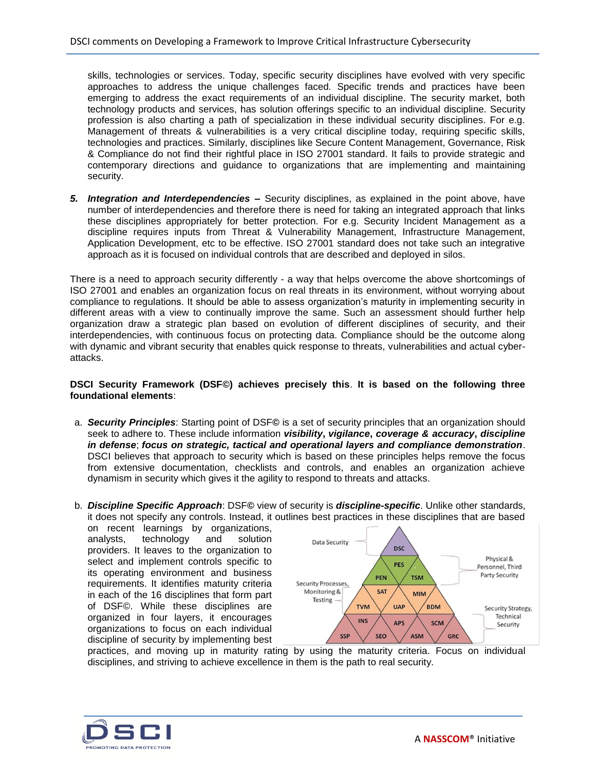skills, technologies or services. Today, specific security disciplines have evolved with very specific approaches to address the unique challenges faced. Specific trends and practices have been emerging to address the exact requirements of an individual discipline. The security market, both technology products and services, has solution offerings specific to an individual discipline. Security profession is also charting a path of specialization in these individual security disciplines. For e.g. Management of threats & vulnerabilities is a very critical discipline today, requiring specific skills, technologies and practices. Similarly, disciplines like Secure Content Management, Governance, Risk & Compliance do not find their rightful place in ISO 27001 standard. It fails to provide strategic and contemporary directions and guidance to organizations that are implementing and maintaining security.

*5. Integration and Interdependencies –* Security disciplines, as explained in the point above, have number of interdependencies and therefore there is need for taking an integrated approach that links these disciplines appropriately for better protection. For e.g. Security Incident Management as a discipline requires inputs from Threat & Vulnerability Management, Infrastructure Management, Application Development, etc to be effective. ISO 27001 standard does not take such an integrative approach as it is focused on individual controls that are described and deployed in silos.

There is a need to approach security differently - a way that helps overcome the above shortcomings of ISO 27001 and enables an organization focus on real threats in its environment, without worrying about compliance to regulations. It should be able to assess organization's maturity in implementing security in different areas with a view to continually improve the same. Such an assessment should further help organization draw a strategic plan based on evolution of different disciplines of security, and their interdependencies, with continuous focus on protecting data. Compliance should be the outcome along with dynamic and vibrant security that enables quick response to threats, vulnerabilities and actual cyberattacks.

# **DSCI Security Framework (DSF©) achieves precisely this**. **It is based on the following three foundational elements**:

- a. *Security Principles*: Starting point of DSF**©** is a set of security principles that an organization should seek to adhere to. These include information *visibility***,** *vigilance***,** *coverage & accuracy***,** *discipline in defense*; *focus on strategic, tactical and operational layers and compliance demonstration*. DSCI believes that approach to security which is based on these principles helps remove the focus from extensive documentation, checklists and controls, and enables an organization achieve dynamism in security which gives it the agility to respond to threats and attacks.
- b. *Discipline Specific Approach*: DSF**©** view of security is *discipline-specific*. Unlike other standards, it does not specify any controls. Instead, it outlines best practices in these disciplines that are based

on recent learnings by organizations, analysts, technology and solution providers. It leaves to the organization to select and implement controls specific to its operating environment and business requirements. It identifies maturity criteria in each of the 16 disciplines that form part of DSF©. While these disciplines are organized in four layers, it encourages organizations to focus on each individual discipline of security by implementing best



practices, and moving up in maturity rating by using the maturity criteria. Focus on individual disciplines, and striving to achieve excellence in them is the path to real security.

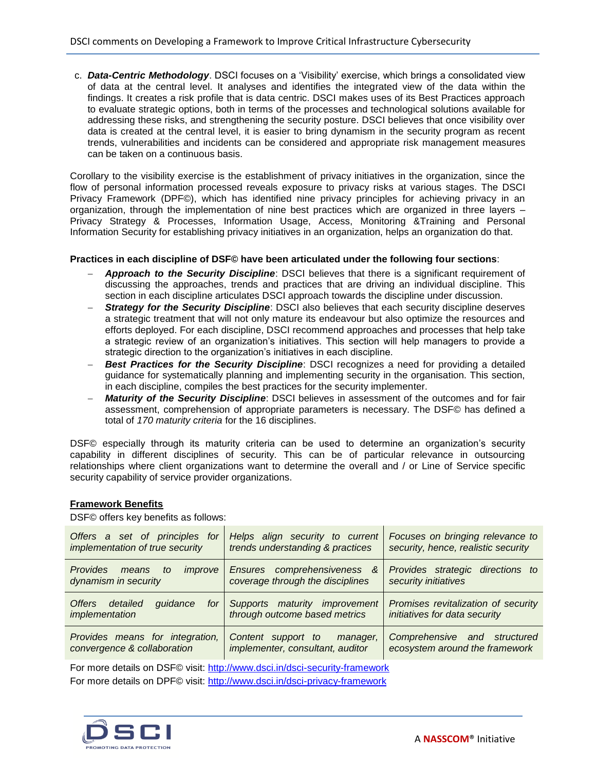c. *Data-Centric Methodology*. DSCI focuses on a 'Visibility' exercise, which brings a consolidated view of data at the central level. It analyses and identifies the integrated view of the data within the findings. It creates a risk profile that is data centric. DSCI makes uses of its Best Practices approach to evaluate strategic options, both in terms of the processes and technological solutions available for addressing these risks, and strengthening the security posture. DSCI believes that once visibility over data is created at the central level, it is easier to bring dynamism in the security program as recent trends, vulnerabilities and incidents can be considered and appropriate risk management measures can be taken on a continuous basis.

Corollary to the visibility exercise is the establishment of privacy initiatives in the organization, since the flow of personal information processed reveals exposure to privacy risks at various stages. The DSCI Privacy Framework (DPF©), which has identified nine privacy principles for achieving privacy in an organization, through the implementation of nine best practices which are organized in three layers – Privacy Strategy & Processes, Information Usage, Access, Monitoring &Training and Personal Information Security for establishing privacy initiatives in an organization, helps an organization do that.

#### **Practices in each discipline of DSF© have been articulated under the following four sections**:

- *Approach to the Security Discipline*: DSCI believes that there is a significant requirement of discussing the approaches, trends and practices that are driving an individual discipline. This section in each discipline articulates DSCI approach towards the discipline under discussion.
- **Strategy for the Security Discipline**: DSCI also believes that each security discipline deserves a strategic treatment that will not only mature its endeavour but also optimize the resources and efforts deployed. For each discipline, DSCI recommend approaches and processes that help take a strategic review of an organization's initiatives. This section will help managers to provide a strategic direction to the organization's initiatives in each discipline.
- *Best Practices for the Security Discipline*: DSCI recognizes a need for providing a detailed guidance for systematically planning and implementing security in the organisation. This section, in each discipline, compiles the best practices for the security implementer.
- *Maturity of the Security Discipline*: DSCI believes in assessment of the outcomes and for fair assessment, comprehension of appropriate parameters is necessary. The DSF© has defined a total of *170 maturity criteria* for the 16 disciplines.

DSF© especially through its maturity criteria can be used to determine an organization's security capability in different disciplines of security. This can be of particular relevance in outsourcing relationships where client organizations want to determine the overall and / or Line of Service specific security capability of service provider organizations.

# **Framework Benefits**

DSF© offers key benefits as follows:

| Offers a set of principles for<br>implementation of true security              | Helps align security to current<br>trends understanding & practices | Focuses on bringing relevance to<br>security, hence, realistic security |
|--------------------------------------------------------------------------------|---------------------------------------------------------------------|-------------------------------------------------------------------------|
| <b>Provides</b><br><i>improve</i><br>means<br>to<br>dynamism in security       | Ensures comprehensiveness &<br>coverage through the disciplines     | Provides strategic directions to<br>security initiatives                |
| <i><u><b>Offers</b></u></i><br>detailed<br>quidance<br>for I<br>implementation | Supports maturity improvement<br>through outcome based metrics      | Promises revitalization of security<br>initiatives for data security    |
| Provides means for integration,<br>convergence & collaboration                 | Content support to<br>manager,<br>implementer, consultant, auditor  | Comprehensive and structured<br>ecosystem around the framework          |

For more details on DSF© visit:<http://www.dsci.in/dsci-security-framework> For more details on DPF© visit:<http://www.dsci.in/dsci-privacy-framework>